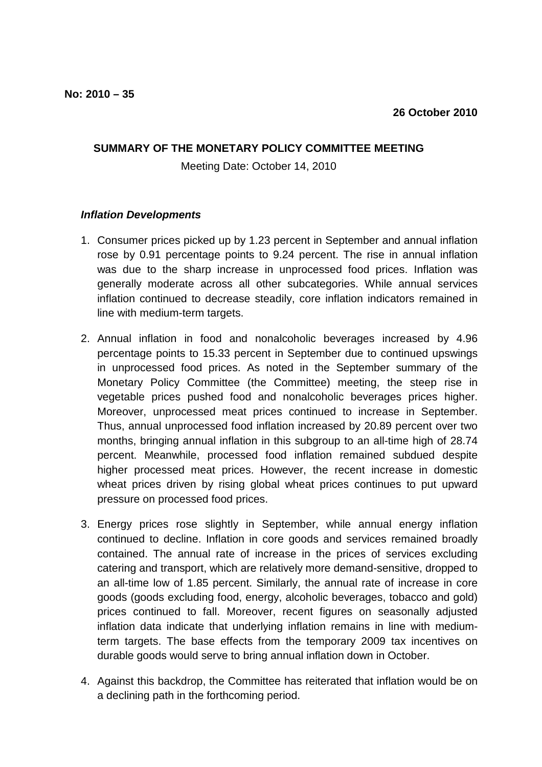## **SUMMARY OF THE MONETARY POLICY COMMITTEE MEETING**

Meeting Date: October 14, 2010

## **Inflation Developments**

- 1. Consumer prices picked up by 1.23 percent in September and annual inflation rose by 0.91 percentage points to 9.24 percent. The rise in annual inflation was due to the sharp increase in unprocessed food prices. Inflation was generally moderate across all other subcategories. While annual services inflation continued to decrease steadily, core inflation indicators remained in line with medium-term targets.
- 2. Annual inflation in food and nonalcoholic beverages increased by 4.96 percentage points to 15.33 percent in September due to continued upswings in unprocessed food prices. As noted in the September summary of the Monetary Policy Committee (the Committee) meeting, the steep rise in vegetable prices pushed food and nonalcoholic beverages prices higher. Moreover, unprocessed meat prices continued to increase in September. Thus, annual unprocessed food inflation increased by 20.89 percent over two months, bringing annual inflation in this subgroup to an all-time high of 28.74 percent. Meanwhile, processed food inflation remained subdued despite higher processed meat prices. However, the recent increase in domestic wheat prices driven by rising global wheat prices continues to put upward pressure on processed food prices.
- 3. Energy prices rose slightly in September, while annual energy inflation continued to decline. Inflation in core goods and services remained broadly contained. The annual rate of increase in the prices of services excluding catering and transport, which are relatively more demand-sensitive, dropped to an all-time low of 1.85 percent. Similarly, the annual rate of increase in core goods (goods excluding food, energy, alcoholic beverages, tobacco and gold) prices continued to fall. Moreover, recent figures on seasonally adjusted inflation data indicate that underlying inflation remains in line with mediumterm targets. The base effects from the temporary 2009 tax incentives on durable goods would serve to bring annual inflation down in October.
- 4. Against this backdrop, the Committee has reiterated that inflation would be on a declining path in the forthcoming period.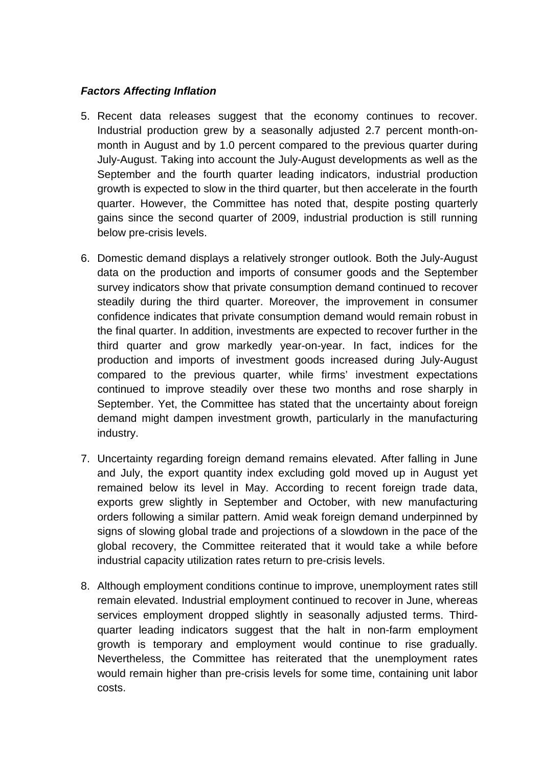## **Factors Affecting Inflation**

- 5. Recent data releases suggest that the economy continues to recover. Industrial production grew by a seasonally adjusted 2.7 percent month-onmonth in August and by 1.0 percent compared to the previous quarter during July-August. Taking into account the July-August developments as well as the September and the fourth quarter leading indicators, industrial production growth is expected to slow in the third quarter, but then accelerate in the fourth quarter. However, the Committee has noted that, despite posting quarterly gains since the second quarter of 2009, industrial production is still running below pre-crisis levels.
- 6. Domestic demand displays a relatively stronger outlook. Both the July-August data on the production and imports of consumer goods and the September survey indicators show that private consumption demand continued to recover steadily during the third quarter. Moreover, the improvement in consumer confidence indicates that private consumption demand would remain robust in the final quarter. In addition, investments are expected to recover further in the third quarter and grow markedly year-on-year. In fact, indices for the production and imports of investment goods increased during July-August compared to the previous quarter, while firms' investment expectations continued to improve steadily over these two months and rose sharply in September. Yet, the Committee has stated that the uncertainty about foreign demand might dampen investment growth, particularly in the manufacturing industry.
- 7. Uncertainty regarding foreign demand remains elevated. After falling in June and July, the export quantity index excluding gold moved up in August yet remained below its level in May. According to recent foreign trade data, exports grew slightly in September and October, with new manufacturing orders following a similar pattern. Amid weak foreign demand underpinned by signs of slowing global trade and projections of a slowdown in the pace of the global recovery, the Committee reiterated that it would take a while before industrial capacity utilization rates return to pre-crisis levels.
- 8. Although employment conditions continue to improve, unemployment rates still remain elevated. Industrial employment continued to recover in June, whereas services employment dropped slightly in seasonally adjusted terms. Thirdquarter leading indicators suggest that the halt in non-farm employment growth is temporary and employment would continue to rise gradually. Nevertheless, the Committee has reiterated that the unemployment rates would remain higher than pre-crisis levels for some time, containing unit labor costs.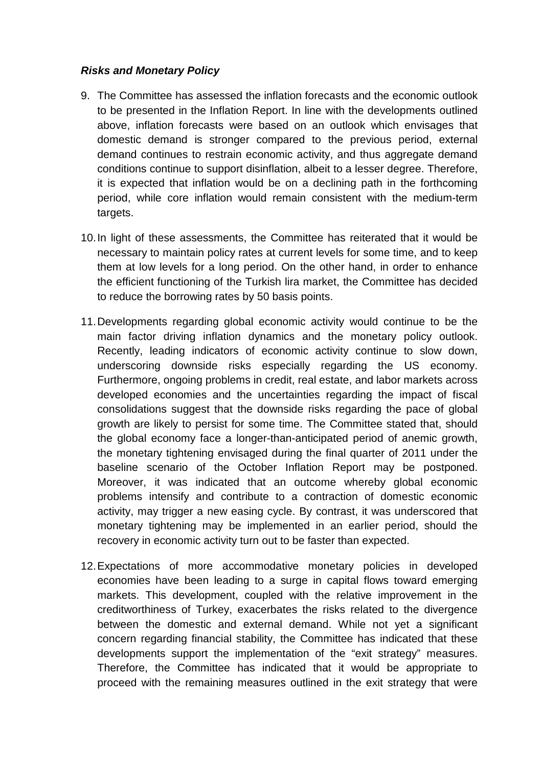## **Risks and Monetary Policy**

- 9. The Committee has assessed the inflation forecasts and the economic outlook to be presented in the Inflation Report. In line with the developments outlined above, inflation forecasts were based on an outlook which envisages that domestic demand is stronger compared to the previous period, external demand continues to restrain economic activity, and thus aggregate demand conditions continue to support disinflation, albeit to a lesser degree. Therefore, it is expected that inflation would be on a declining path in the forthcoming period, while core inflation would remain consistent with the medium-term targets.
- 10. In light of these assessments, the Committee has reiterated that it would be necessary to maintain policy rates at current levels for some time, and to keep them at low levels for a long period. On the other hand, in order to enhance the efficient functioning of the Turkish lira market, the Committee has decided to reduce the borrowing rates by 50 basis points.
- 11. Developments regarding global economic activity would continue to be the main factor driving inflation dynamics and the monetary policy outlook. Recently, leading indicators of economic activity continue to slow down, underscoring downside risks especially regarding the US economy. Furthermore, ongoing problems in credit, real estate, and labor markets across developed economies and the uncertainties regarding the impact of fiscal consolidations suggest that the downside risks regarding the pace of global growth are likely to persist for some time. The Committee stated that, should the global economy face a longer-than-anticipated period of anemic growth, the monetary tightening envisaged during the final quarter of 2011 under the baseline scenario of the October Inflation Report may be postponed. Moreover, it was indicated that an outcome whereby global economic problems intensify and contribute to a contraction of domestic economic activity, may trigger a new easing cycle. By contrast, it was underscored that monetary tightening may be implemented in an earlier period, should the recovery in economic activity turn out to be faster than expected.
- 12. Expectations of more accommodative monetary policies in developed economies have been leading to a surge in capital flows toward emerging markets. This development, coupled with the relative improvement in the creditworthiness of Turkey, exacerbates the risks related to the divergence between the domestic and external demand. While not yet a significant concern regarding financial stability, the Committee has indicated that these developments support the implementation of the "exit strategy" measures. Therefore, the Committee has indicated that it would be appropriate to proceed with the remaining measures outlined in the exit strategy that were